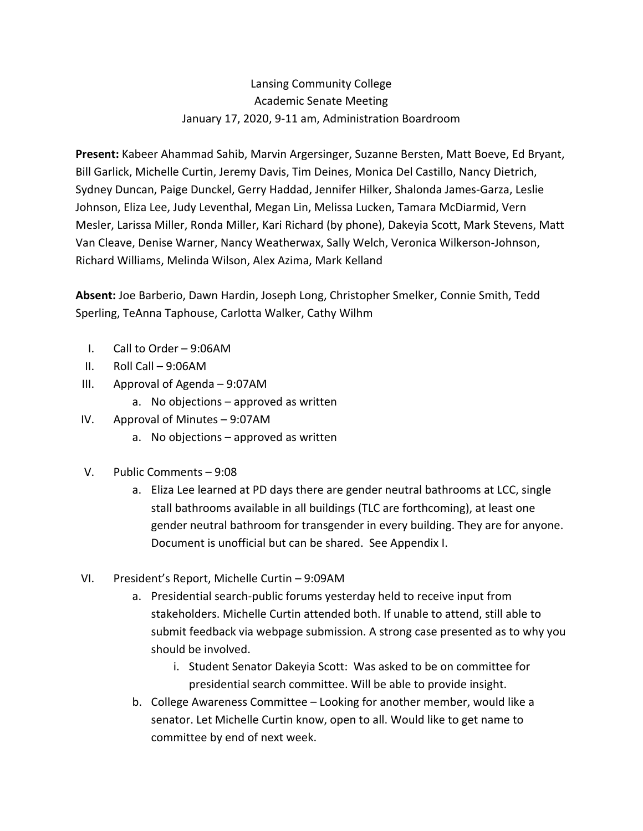# Lansing Community College Academic Senate Meeting January 17, 2020, 9-11 am, Administration Boardroom

 **Present:** Kabeer Ahammad Sahib, Marvin Argersinger, Suzanne Bersten, Matt Boeve, Ed Bryant, Bill Garlick, Michelle Curtin, Jeremy Davis, Tim Deines, Monica Del Castillo, Nancy Dietrich, Sydney Duncan, Paige Dunckel, Gerry Haddad, Jennifer Hilker, Shalonda James-Garza, Leslie Johnson, Eliza Lee, Judy Leventhal, Megan Lin, Melissa Lucken, Tamara McDiarmid, Vern Mesler, Larissa Miller, Ronda Miller, Kari Richard (by phone), Dakeyia Scott, Mark Stevens, Matt Van Cleave, Denise Warner, Nancy Weatherwax, Sally Welch, Veronica Wilkerson-Johnson, Richard Williams, Melinda Wilson, Alex Azima, Mark Kelland

 **Absent:** Joe Barberio, Dawn Hardin, Joseph Long, Christopher Smelker, Connie Smith, Tedd Sperling, TeAnna Taphouse, Carlotta Walker, Cathy Wilhm

- I. Call to Order 9:06AM
- II. Roll Call 9:06AM
- III. Approval of Agenda 9:07AM
	- a. No objections approved as written
- IV. Approval of Minutes 9:07AM
	- a. No objections approved as written
- V. Public Comments 9:08
	- a. Eliza Lee learned at PD days there are gender neutral bathrooms at LCC, single stall bathrooms available in all buildings (TLC are forthcoming), at least one gender neutral bathroom for transgender in every building. They are for anyone. Document is unofficial but can be shared. See Appendix I.
- VI. President's Report, Michelle Curtin 9:09AM
	- a. Presidential search-public forums yesterday held to receive input from stakeholders. Michelle Curtin attended both. If unable to attend, still able to submit feedback via webpage submission. A strong case presented as to why you should be involved.
		- i. Student Senator Dakeyia Scott: Was asked to be on committee for presidential search committee. Will be able to provide insight.
	- b. College Awareness Committee Looking for another member, would like a senator. Let Michelle Curtin know, open to all. Would like to get name to committee by end of next week.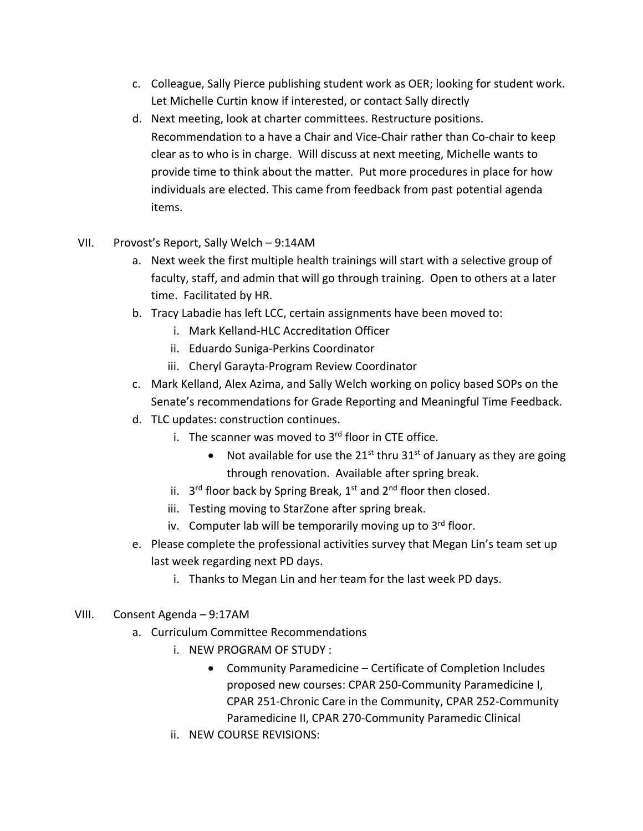- c. Colleague, Sally Pierce publishing student work as OER; looking for student work. Let Michelle Curtin know if interested, or contact Sally directly
- d. Next meeting, look at charter committees. Restructure positions. Recommendation to a have a Chair and Vice-Chair rather than Co-chair to keep clear as to who is in charge. Will discuss at next meeting, Michelle wants to provide time to think about the matter. Put more procedures in place for how individuals are elected. This came from feedback from past potential agenda items.
- VII. Provost's Report, Sally Welch 9:14AM
	- a. Next week the first multiple health trainings will start with a selective group of faculty, staff, and admin that will go through training. Open to others at a later time. Facilitated by HR.
	- b. Tracy Labadie has left LCC, certain assignments have been moved to:
		- i. Mark Kelland-HLC Accreditation Officer
		- ii. Eduardo Suniga-Perkins Coordinator
		- iii. Cheryl Garayta-Program Review Coordinator
	- c. Mark Kelland, Alex Azima, and Sally Welch working on policy based SOPs on the Senate's recommendations for Grade Reporting and Meaningful Time Feedback.
	- d. TLC updates: construction continues.
		- i. The scanner was moved to 3<sup>rd</sup> floor in CTE office.
			- Not available for use the  $21^{st}$  thru  $31^{st}$  of January as they are going through renovation. Available after spring break.
		- ii.  $3^{rd}$  floor back by Spring Break,  $1^{st}$  and  $2^{nd}$  floor then closed.
		- iii. Testing moving to StarZone after spring break.
		- iv. Computer lab will be temporarily moving up to 3<sup>rd</sup> floor.
	- e. Please complete the professional activities survey that Megan Lin's team set up last week regarding next PD days.
		- i. Thanks to Megan Lin and her team for the last week PD days.
- VIII. Consent Agenda 9:17AM
	- a. Curriculum Committee Recommendations
		- i. NEW PROGRAM OF STUDY :
			- • Community Paramedicine Certificate of Completion Includes proposed new courses: CPAR 250-Community Paramedicine I, CPAR 251-Chronic Care in the Community, CPAR 252-Community Paramedicine II, CPAR 270-Community Paramedic Clinical
		- ii. NEW COURSE REVISIONS: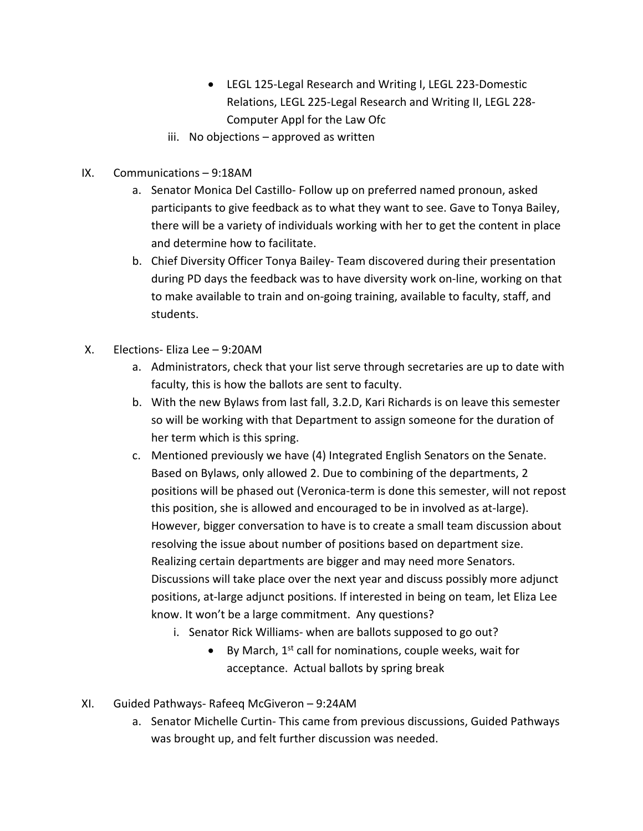- • LEGL 125-Legal Research and Writing I, LEGL 223-Domestic Relations, LEGL 225-Legal Research and Writing II, LEGL 228- Computer Appl for the Law Ofc
- iii. No objections approved as written
- IX. Communications 9:18AM
	- a. Senator Monica Del Castillo- Follow up on preferred named pronoun, asked participants to give feedback as to what they want to see. Gave to Tonya Bailey, there will be a variety of individuals working with her to get the content in place and determine how to facilitate.
	- b. Chief Diversity Officer Tonya Bailey- Team discovered during their presentation during PD days the feedback was to have diversity work on-line, working on that to make available to train and on-going training, available to faculty, staff, and students.
- X. Elections- Eliza Lee 9:20AM
	- a. Administrators, check that your list serve through secretaries are up to date with faculty, this is how the ballots are sent to faculty.
	- b. With the new Bylaws from last fall, 3.2.D, Kari Richards is on leave this semester so will be working with that Department to assign someone for the duration of her term which is this spring.
	- c. Mentioned previously we have (4) Integrated English Senators on the Senate. Based on Bylaws, only allowed 2. Due to combining of the departments, 2 positions will be phased out (Veronica-term is done this semester, will not repost this position, she is allowed and encouraged to be in involved as at-large). However, bigger conversation to have is to create a small team discussion about resolving the issue about number of positions based on department size. Realizing certain departments are bigger and may need more Senators. Discussions will take place over the next year and discuss possibly more adjunct positions, at-large adjunct positions. If interested in being on team, let Eliza Lee know. It won't be a large commitment. Any questions?
		- i. Senator Rick Williams- when are ballots supposed to go out?
			- $\bullet$  By March, 1<sup>st</sup> call for nominations, couple weeks, wait for acceptance. Actual ballots by spring break
- XI. Guided Pathways- Rafeeq McGiveron 9:24AM
	- a. Senator Michelle Curtin- This came from previous discussions, Guided Pathways was brought up, and felt further discussion was needed.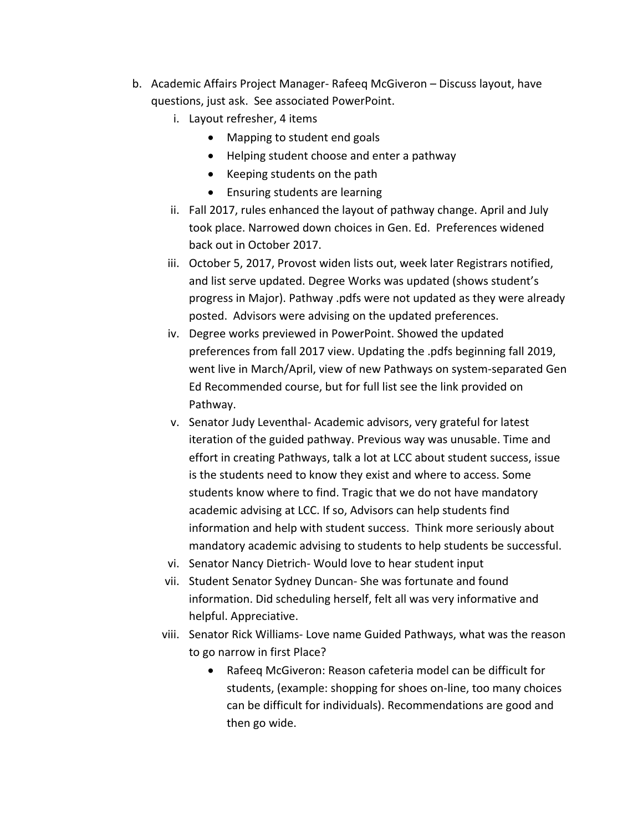- b. Academic Affairs Project Manager- Rafeeq McGiveron Discuss layout, have questions, just ask. See associated PowerPoint.
	- i. Layout refresher, 4 items
		- Mapping to student end goals
		- Helping student choose and enter a pathway
		- Keeping students on the path
		- Ensuring students are learning
	- ii. Fall 2017, rules enhanced the layout of pathway change. April and July took place. Narrowed down choices in Gen. Ed. Preferences widened back out in October 2017.
	- iii. October 5, 2017, Provost widen lists out, week later Registrars notified, and list serve updated. Degree Works was updated (shows student's progress in Major). Pathway .pdfs were not updated as they were already posted. Advisors were advising on the updated preferences.
	- iv. Degree works previewed in PowerPoint. Showed the updated preferences from fall 2017 view. Updating the .pdfs beginning fall 2019, went live in March/April, view of new Pathways on system-separated Gen Ed Recommended course, but for full list see the link provided on Pathway.
	- v. Senator Judy Leventhal- Academic advisors, very grateful for latest iteration of the guided pathway. Previous way was unusable. Time and effort in creating Pathways, talk a lot at LCC about student success, issue is the students need to know they exist and where to access. Some students know where to find. Tragic that we do not have mandatory academic advising at LCC. If so, Advisors can help students find information and help with student success. Think more seriously about mandatory academic advising to students to help students be successful.
	- vi. Senator Nancy Dietrich- Would love to hear student input
	- vii. Student Senator Sydney Duncan- She was fortunate and found information. Did scheduling herself, felt all was very informative and helpful. Appreciative.
	- viii. Senator Rick Williams- Love name Guided Pathways, what was the reason to go narrow in first Place?
		- • Rafeeq McGiveron: Reason cafeteria model can be difficult for students, (example: shopping for shoes on-line, too many choices can be difficult for individuals). Recommendations are good and then go wide.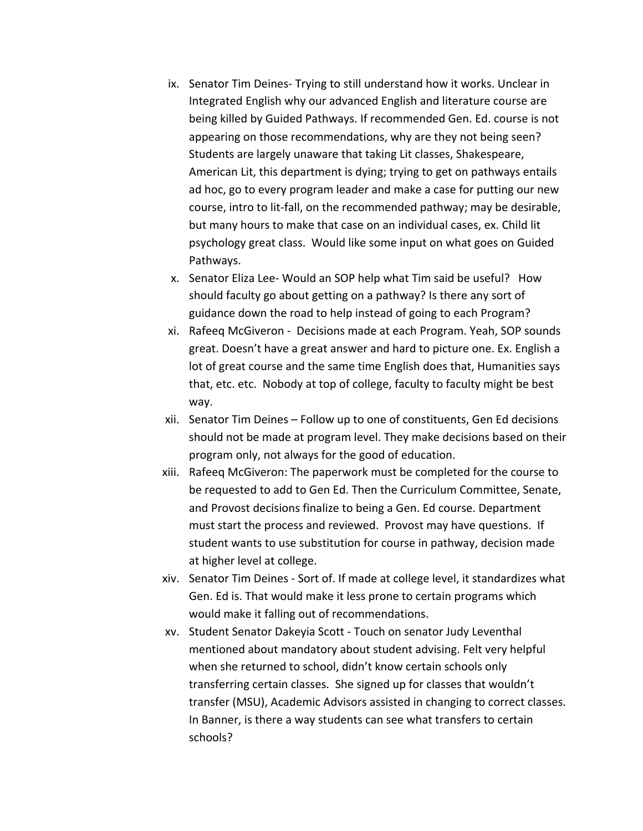- ix. Senator Tim Deines- Trying to still understand how it works. Unclear in Integrated English why our advanced English and literature course are being killed by Guided Pathways. If recommended Gen. Ed. course is not appearing on those recommendations, why are they not being seen? Students are largely unaware that taking Lit classes, Shakespeare, American Lit, this department is dying; trying to get on pathways entails ad hoc, go to every program leader and make a case for putting our new course, intro to lit-fall, on the recommended pathway; may be desirable, but many hours to make that case on an individual cases, ex. Child lit psychology great class. Would like some input on what goes on Guided Pathways.
- Pathways. x. Senator Eliza Lee- Would an SOP help what Tim said be useful? How should faculty go about getting on a pathway? Is there any sort of guidance down the road to help instead of going to each Program?
- xi. Rafeeq McGiveron Decisions made at each Program. Yeah, SOP sounds great. Doesn't have a great answer and hard to picture one. Ex. English a lot of great course and the same time English does that, Humanities says that, etc. etc. Nobody at top of college, faculty to faculty might be best way.
- way. xii. Senator Tim Deines Follow up to one of constituents, Gen Ed decisions should not be made at program level. They make decisions based on their program only, not always for the good of education.
- xiii. Rafeeq McGiveron: The paperwork must be completed for the course to be requested to add to Gen Ed. Then the Curriculum Committee, Senate, and Provost decisions finalize to being a Gen. Ed course. Department must start the process and reviewed. Provost may have questions. If student wants to use substitution for course in pathway, decision made at higher level at college.
- xiv. Senator Tim Deines Sort of. If made at college level, it standardizes what Gen. Ed is. That would make it less prone to certain programs which would make it falling out of recommendations.
- xv. Student Senator Dakeyia Scott Touch on senator Judy Leventhal mentioned about mandatory about student advising. Felt very helpful when she returned to school, didn't know certain schools only transferring certain classes. She signed up for classes that wouldn't transfer (MSU), Academic Advisors assisted in changing to correct classes. In Banner, is there a way students can see what transfers to certain schools?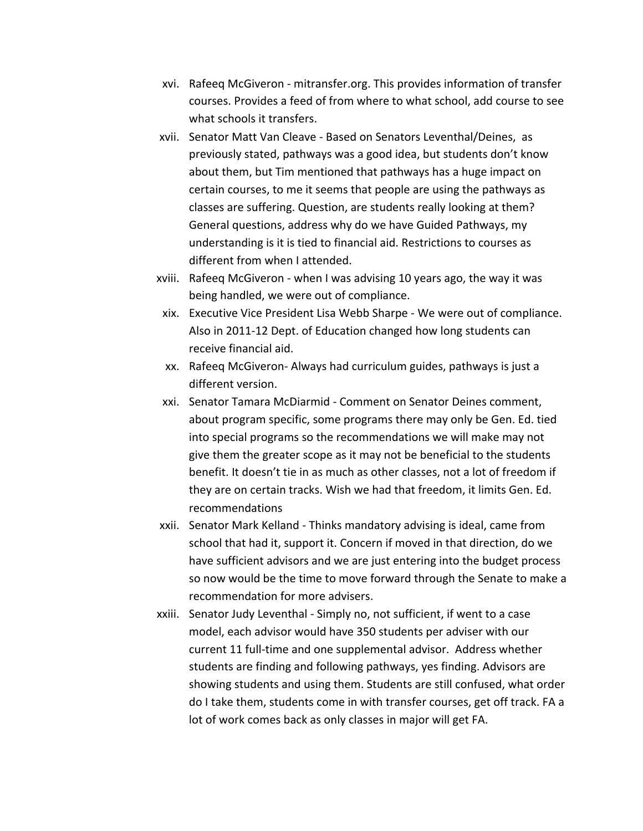- xvi. Rafeeq McGiveron mitransfer.org. This provides information of transfer courses. Provides a feed of from where to what school, add course to see what schools it transfers.
- xvii. Senator Matt Van Cleave Based on Senators Leventhal/Deines, as previously stated, pathways was a good idea, but students don't know about them, but Tim mentioned that pathways has a huge impact on certain courses, to me it seems that people are using the pathways as classes are suffering. Question, are students really looking at them? General questions, address why do we have Guided Pathways, my understanding is it is tied to financial aid. Restrictions to courses as different from when I attended.
- xviii. Rafeeq McGiveron when I was advising 10 years ago, the way it was being handled, we were out of compliance.
	- xix. Executive Vice President Lisa Webb Sharpe We were out of compliance. Also in 2011-12 Dept. of Education changed how long students can receive financial aid.
	- xx. Rafeeq McGiveron- Always had curriculum guides, pathways is just a different version.
- xxi. Senator Tamara McDiarmid Comment on Senator Deines comment, about program specific, some programs there may only be Gen. Ed. tied into special programs so the recommendations we will make may not give them the greater scope as it may not be beneficial to the students benefit. It doesn't tie in as much as other classes, not a lot of freedom if they are on certain tracks. Wish we had that freedom, it limits Gen. Ed. recommendations
- xxii. Senator Mark Kelland Thinks mandatory advising is ideal, came from school that had it, support it. Concern if moved in that direction, do we have sufficient advisors and we are just entering into the budget process so now would be the time to move forward through the Senate to make a recommendation for more advisers.
- xxiii. Senator Judy Leventhal Simply no, not sufficient, if went to a case model, each advisor would have 350 students per adviser with our current 11 full-time and one supplemental advisor. Address whether students are finding and following pathways, yes finding. Advisors are showing students and using them. Students are still confused, what order do I take them, students come in with transfer courses, get off track. FA a lot of work comes back as only classes in major will get FA.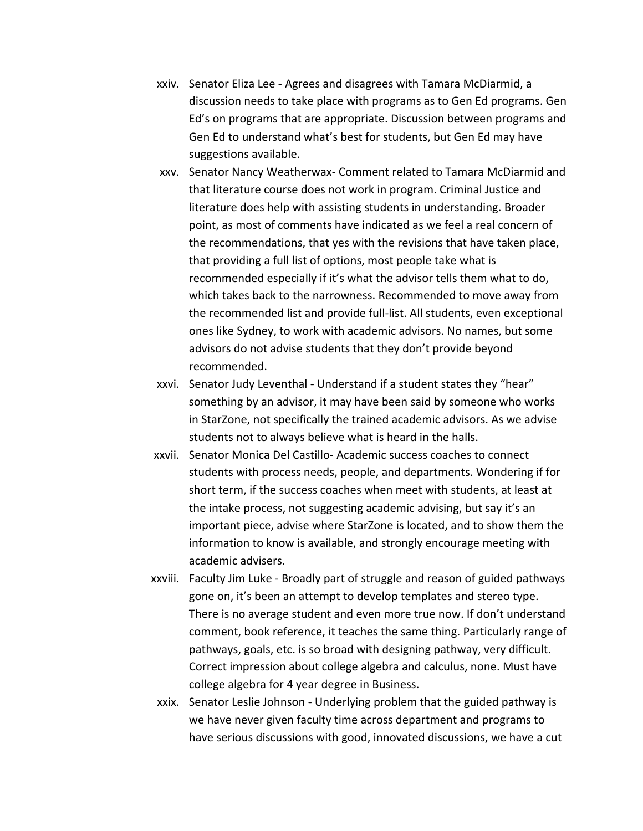- xxiv. Senator Eliza Lee Agrees and disagrees with Tamara McDiarmid, a discussion needs to take place with programs as to Gen Ed programs. Gen Ed's on programs that are appropriate. Discussion between programs and Gen Ed to understand what's best for students, but Gen Ed may have suggestions available.
- xxv. Senator Nancy Weatherwax- Comment related to Tamara McDiarmid and that literature course does not work in program. Criminal Justice and literature does help with assisting students in understanding. Broader point, as most of comments have indicated as we feel a real concern of the recommendations, that yes with the revisions that have taken place, that providing a full list of options, most people take what is recommended especially if it's what the advisor tells them what to do, which takes back to the narrowness. Recommended to move away from the recommended list and provide full-list. All students, even exceptional ones like Sydney, to work with academic advisors. No names, but some advisors do not advise students that they don't provide beyond recommended.
- xxvi. Senator Judy Leventhal Understand if a student states they "hear" something by an advisor, it may have been said by someone who works in StarZone, not specifically the trained academic advisors. As we advise students not to always believe what is heard in the halls.
- xxvii. Senator Monica Del Castillo- Academic success coaches to connect students with process needs, people, and departments. Wondering if for short term, if the success coaches when meet with students, at least at the intake process, not suggesting academic advising, but say it's an important piece, advise where StarZone is located, and to show them the information to know is available, and strongly encourage meeting with academic advisers.
- xxviii. Faculty Jim Luke Broadly part of struggle and reason of guided pathways gone on, it's been an attempt to develop templates and stereo type. There is no average student and even more true now. If don't understand comment, book reference, it teaches the same thing. Particularly range of pathways, goals, etc. is so broad with designing pathway, very difficult. Correct impression about college algebra and calculus, none. Must have college algebra for 4 year degree in Business.
	- xxix. Senator Leslie Johnson Underlying problem that the guided pathway is we have never given faculty time across department and programs to have serious discussions with good, innovated discussions, we have a cut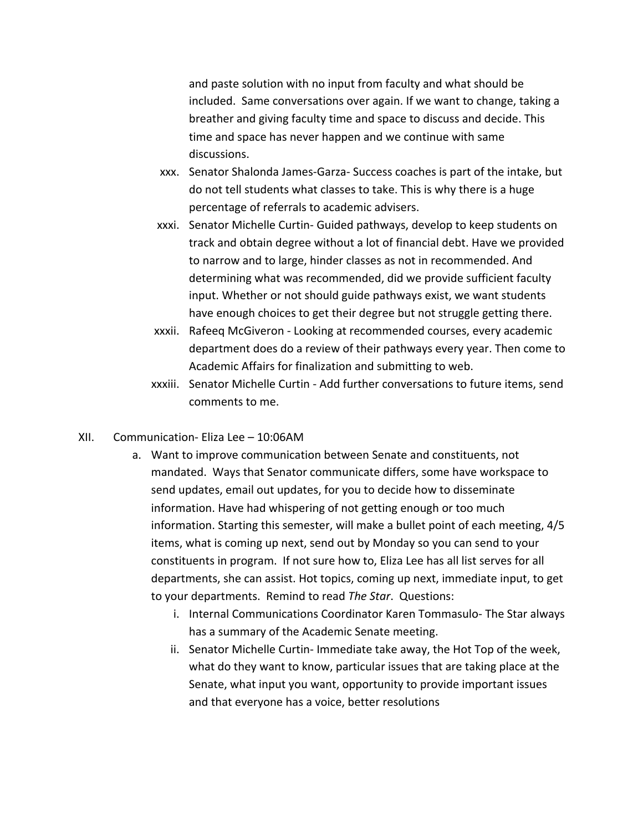and paste solution with no input from faculty and what should be included. Same conversations over again. If we want to change, taking a breather and giving faculty time and space to discuss and decide. This time and space has never happen and we continue with same discussions.

- xxx. Senator Shalonda James-Garza- Success coaches is part of the intake, but do not tell students what classes to take. This is why there is a huge percentage of referrals to academic advisers.
- xxxi. Senator Michelle Curtin- Guided pathways, develop to keep students on track and obtain degree without a lot of financial debt. Have we provided to narrow and to large, hinder classes as not in recommended. And determining what was recommended, did we provide sufficient faculty input. Whether or not should guide pathways exist, we want students have enough choices to get their degree but not struggle getting there.
- xxxii. Rafeeq McGiveron Looking at recommended courses, every academic department does do a review of their pathways every year. Then come to Academic Affairs for finalization and submitting to web.
- xxxiii. Senator Michelle Curtin Add further conversations to future items, send comments to me.
- XII. Communication- Eliza Lee 10:06AM
	- a. Want to improve communication between Senate and constituents, not mandated. Ways that Senator communicate differs, some have workspace to send updates, email out updates, for you to decide how to disseminate information. Have had whispering of not getting enough or too much information. Starting this semester, will make a bullet point of each meeting, 4/5 items, what is coming up next, send out by Monday so you can send to your constituents in program. If not sure how to, Eliza Lee has all list serves for all departments, she can assist. Hot topics, coming up next, immediate input, to get to your departments. Remind to read *The Star*. Questions:
		- i. Internal Communications Coordinator Karen Tommasulo- The Star always has a summary of the Academic Senate meeting.
		- ii. Senator Michelle Curtin- Immediate take away, the Hot Top of the week, what do they want to know, particular issues that are taking place at the Senate, what input you want, opportunity to provide important issues and that everyone has a voice, better resolutions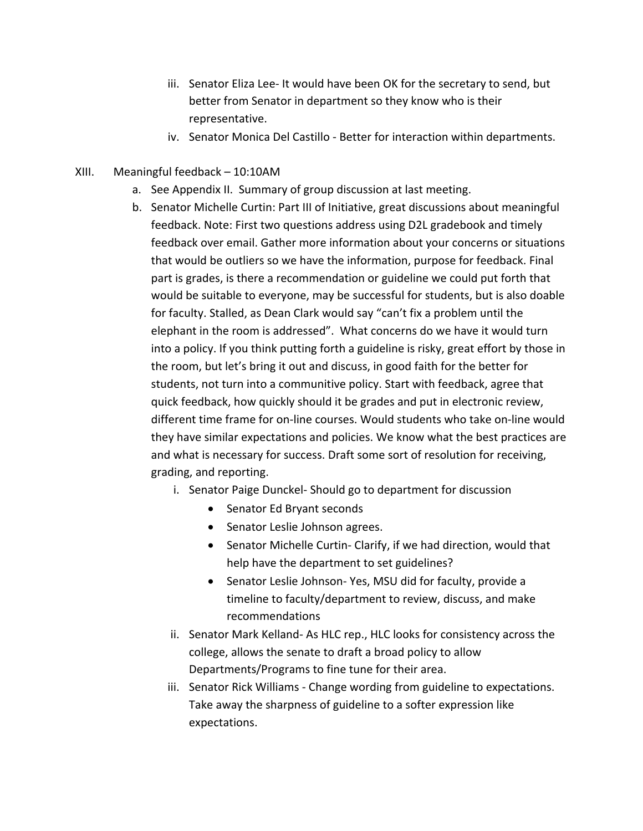- iii. Senator Eliza Lee- It would have been OK for the secretary to send, but better from Senator in department so they know who is their representative.
- iv. Senator Monica Del Castillo Better for interaction within departments.
- XIII. Meaningful feedback 10:10AM
	- a. See Appendix II. Summary of group discussion at last meeting.
	- b. Senator Michelle Curtin: Part III of Initiative, great discussions about meaningful feedback. Note: First two questions address using D2L gradebook and timely feedback over email. Gather more information about your concerns or situations that would be outliers so we have the information, purpose for feedback. Final part is grades, is there a recommendation or guideline we could put forth that would be suitable to everyone, may be successful for students, but is also doable for faculty. Stalled, as Dean Clark would say "can't fix a problem until the elephant in the room is addressed". What concerns do we have it would turn into a policy. If you think putting forth a guideline is risky, great effort by those in the room, but let's bring it out and discuss, in good faith for the better for students, not turn into a communitive policy. Start with feedback, agree that quick feedback, how quickly should it be grades and put in electronic review, different time frame for on-line courses. Would students who take on-line would they have similar expectations and policies. We know what the best practices are and what is necessary for success. Draft some sort of resolution for receiving, grading, and reporting.
		- i. Senator Paige Dunckel- Should go to department for discussion
			- Senator Ed Bryant seconds
			- Senator Leslie Johnson agrees.
			- • Senator Michelle Curtin- Clarify, if we had direction, would that help have the department to set guidelines?
			- • Senator Leslie Johnson- Yes, MSU did for faculty, provide a timeline to faculty/department to review, discuss, and make recommendations
		- ii. Senator Mark Kelland- As HLC rep., HLC looks for consistency across the college, allows the senate to draft a broad policy to allow Departments/Programs to fine tune for their area.
		- iii. Senator Rick Williams Change wording from guideline to expectations. Take away the sharpness of guideline to a softer expression like expectations.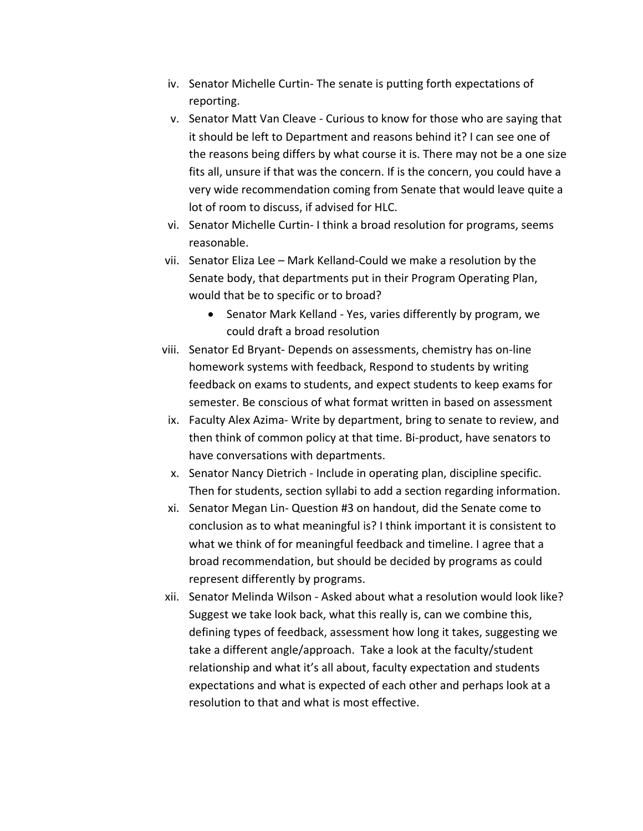- iv. Senator Michelle Curtin- The senate is putting forth expectations of reporting.
- v. Senator Matt Van Cleave Curious to know for those who are saying that it should be left to Department and reasons behind it? I can see one of the reasons being differs by what course it is. There may not be a one size fits all, unsure if that was the concern. If is the concern, you could have a very wide recommendation coming from Senate that would leave quite a lot of room to discuss, if advised for HLC.
- vi. Senator Michelle Curtin- I think a broad resolution for programs, seems reasonable.
- vii. Senator Eliza Lee Mark Kelland-Could we make a resolution by the Senate body, that departments put in their Program Operating Plan, would that be to specific or to broad?
	- • Senator Mark Kelland Yes, varies differently by program, we could draft a broad resolution
- viii. Senator Ed Bryant- Depends on assessments, chemistry has on-line homework systems with feedback, Respond to students by writing feedback on exams to students, and expect students to keep exams for semester. Be conscious of what format written in based on assessment
	- ix. Faculty Alex Azima- Write by department, bring to senate to review, and then think of common policy at that time. Bi-product, have senators to have conversations with departments.
	- x. Senator Nancy Dietrich Include in operating plan, discipline specific. Then for students, section syllabi to add a section regarding information.
- xi. Senator Megan Lin- Question #3 on handout, did the Senate come to conclusion as to what meaningful is? I think important it is consistent to what we think of for meaningful feedback and timeline. I agree that a broad recommendation, but should be decided by programs as could represent differently by programs.
- xii. Senator Melinda Wilson Asked about what a resolution would look like? Suggest we take look back, what this really is, can we combine this, defining types of feedback, assessment how long it takes, suggesting we take a different angle/approach. Take a look at the faculty/student relationship and what it's all about, faculty expectation and students expectations and what is expected of each other and perhaps look at a resolution to that and what is most effective.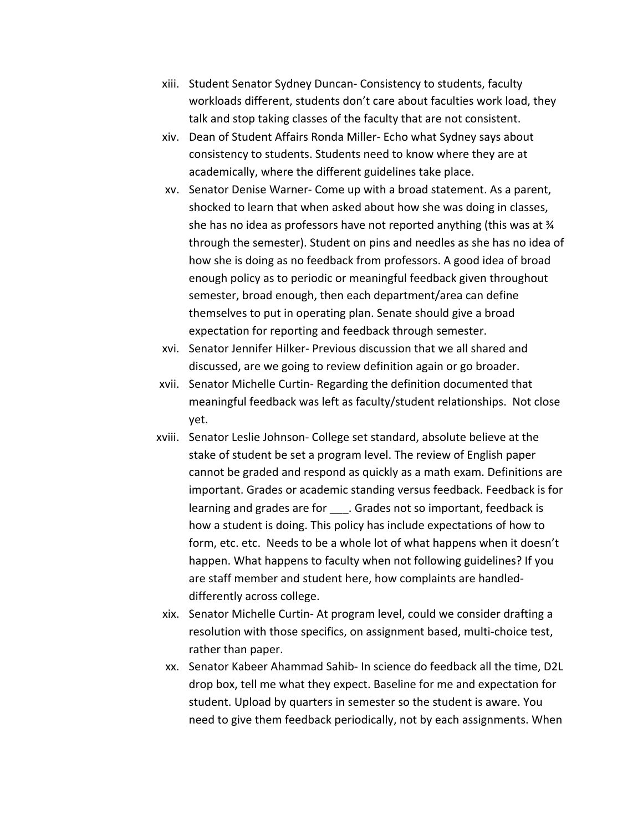- xiii. Student Senator Sydney Duncan- Consistency to students, faculty workloads different, students don't care about faculties work load, they talk and stop taking classes of the faculty that are not consistent.
- xiv. Dean of Student Affairs Ronda Miller- Echo what Sydney says about consistency to students. Students need to know where they are at academically, where the different guidelines take place.
- xv. Senator Denise Warner- Come up with a broad statement. As a parent, shocked to learn that when asked about how she was doing in classes, she has no idea as professors have not reported anything (this was at  $\frac{3}{4}$  through the semester). Student on pins and needles as she has no idea of how she is doing as no feedback from professors. A good idea of broad enough policy as to periodic or meaningful feedback given throughout semester, broad enough, then each department/area can define themselves to put in operating plan. Senate should give a broad expectation for reporting and feedback through semester.
- xvi. Senator Jennifer Hilker- Previous discussion that we all shared and discussed, are we going to review definition again or go broader.
- xvii. Senator Michelle Curtin- Regarding the definition documented that meaningful feedback was left as faculty/student relationships. Not close yet.
- xviii. Senator Leslie Johnson- College set standard, absolute believe at the stake of student be set a program level. The review of English paper cannot be graded and respond as quickly as a math exam. Definitions are important. Grades or academic standing versus feedback. Feedback is for learning and grades are for \_\_\_\_. Grades not so important, feedback is how a student is doing. This policy has include expectations of how to form, etc. etc. Needs to be a whole lot of what happens when it doesn't happen. What happens to faculty when not following guidelines? If you are staff member and student here, how complaints are handled- differently across college.
	- xix. Senator Michelle Curtin- At program level, could we consider drafting a resolution with those specifics, on assignment based, multi-choice test, rather than paper.
	- xx. Senator Kabeer Ahammad Sahib- In science do feedback all the time, D2L drop box, tell me what they expect. Baseline for me and expectation for student. Upload by quarters in semester so the student is aware. You need to give them feedback periodically, not by each assignments. When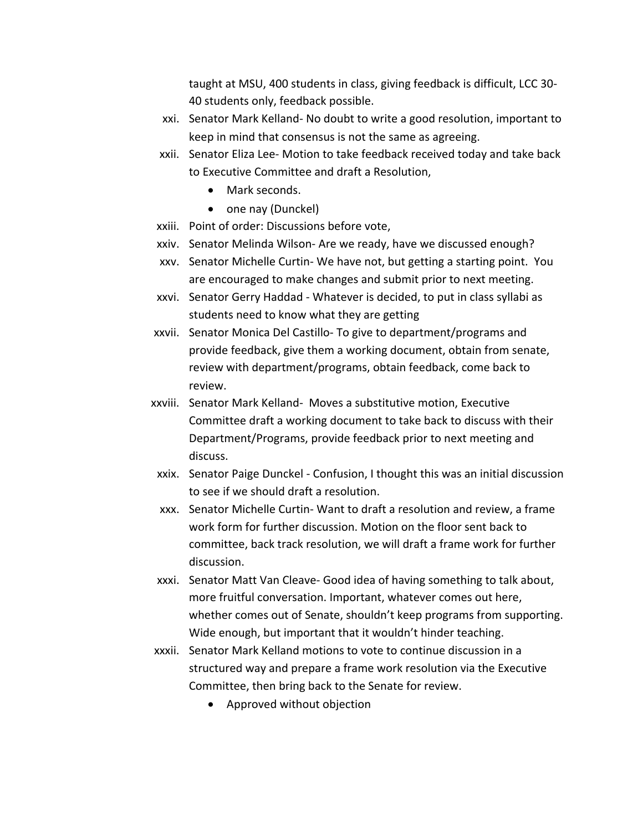taught at MSU, 400 students in class, giving feedback is difficult, LCC 30- 40 students only, feedback possible.

- xxi. Senator Mark Kelland- No doubt to write a good resolution, important to keep in mind that consensus is not the same as agreeing.
- xxii. Senator Eliza Lee- Motion to take feedback received today and take back to Executive Committee and draft a Resolution,
	- Mark seconds.
	- one nay (Dunckel)
- xxiii. Point of order: Discussions before vote,
- xxiv. Senator Melinda Wilson- Are we ready, have we discussed enough?
- xxv. Senator Michelle Curtin- We have not, but getting a starting point. You are encouraged to make changes and submit prior to next meeting.
- xxvi. Senator Gerry Haddad Whatever is decided, to put in class syllabi as students need to know what they are getting
- xxvii. Senator Monica Del Castillo- To give to department/programs and provide feedback, give them a working document, obtain from senate, review with department/programs, obtain feedback, come back to review.
- xxviii. Senator Mark Kelland- Moves a substitutive motion, Executive Committee draft a working document to take back to discuss with their Department/Programs, provide feedback prior to next meeting and discuss.
	- xxix. Senator Paige Dunckel Confusion, I thought this was an initial discussion to see if we should draft a resolution.
	- xxx. Senator Michelle Curtin- Want to draft a resolution and review, a frame work form for further discussion. Motion on the floor sent back to committee, back track resolution, we will draft a frame work for further discussion.
- discussion. xxxi. Senator Matt Van Cleave- Good idea of having something to talk about, more fruitful conversation. Important, whatever comes out here, whether comes out of Senate, shouldn't keep programs from supporting. Wide enough, but important that it wouldn't hinder teaching.
- xxxii. Senator Mark Kelland motions to vote to continue discussion in a structured way and prepare a frame work resolution via the Executive Committee, then bring back to the Senate for review.
	- Approved without objection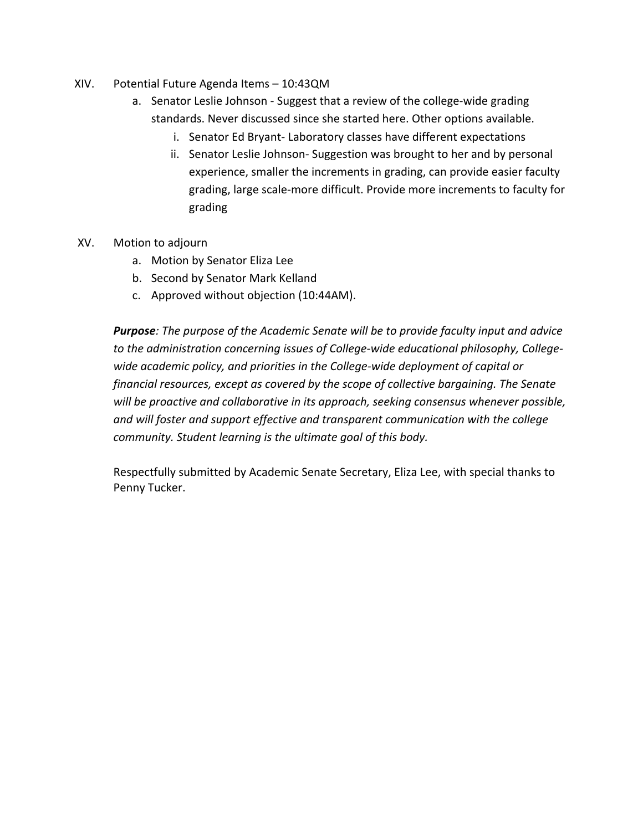- XIV. Potential Future Agenda Items 10:43QM
	- a. Senator Leslie Johnson Suggest that a review of the college-wide grading standards. Never discussed since she started here. Other options available.
		- i. Senator Ed Bryant- Laboratory classes have different expectations
		- ii. Senator Leslie Johnson- Suggestion was brought to her and by personal experience, smaller the increments in grading, can provide easier faculty grading, large scale-more difficult. Provide more increments to faculty for grading
- XV. Motion to adjourn
	- a. Motion by Senator Eliza Lee
	- b. Second by Senator Mark Kelland
	- c. Approved without objection (10:44AM).

 *Purpose: The purpose of the Academic Senate will be to provide faculty input and advice to the administration concerning issues of College-wide educational philosophy, College- wide academic policy, and priorities in the College-wide deployment of capital or financial resources, except as covered by the scope of collective bargaining. The Senate will be proactive and collaborative in its approach, seeking consensus whenever possible, and will foster and support effective and transparent communication with the college community. Student learning is the ultimate goal of this body.* 

 Respectfully submitted by Academic Senate Secretary, Eliza Lee, with special thanks to Penny Tucker.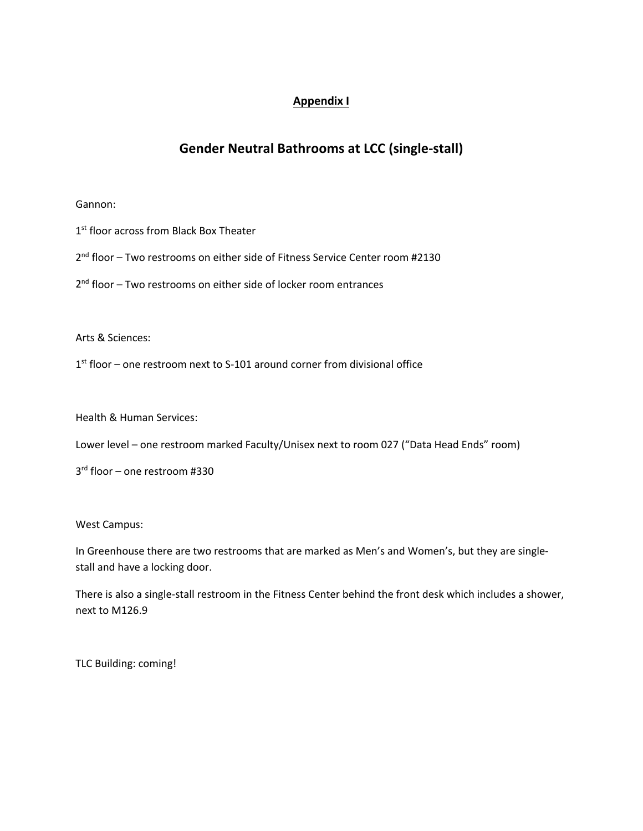## **Appendix I**

# **Gender Neutral Bathrooms at LCC (single-stall)**

#### Gannon:

- 1<sup>st</sup> floor across from Black Box Theater
- 2<sup>nd</sup> floor Two restrooms on either side of Fitness Service Center room #2130
- 2<sup>nd</sup> floor Two restrooms on either side of locker room entrances

Arts & Sciences:

 $1<sup>st</sup>$  floor – one restroom next to S-101 around corner from divisional office

Health & Human Services:

Lower level – one restroom marked Faculty/Unisex next to room 027 ("Data Head Ends" room)

3rd floor – one restroom #330

West Campus:

 In Greenhouse there are two restrooms that are marked as Men's and Women's, but they are single-stall and have a locking door.

 There is also a single-stall restroom in the Fitness Center behind the front desk which includes a shower, next to M126.9

TLC Building: coming!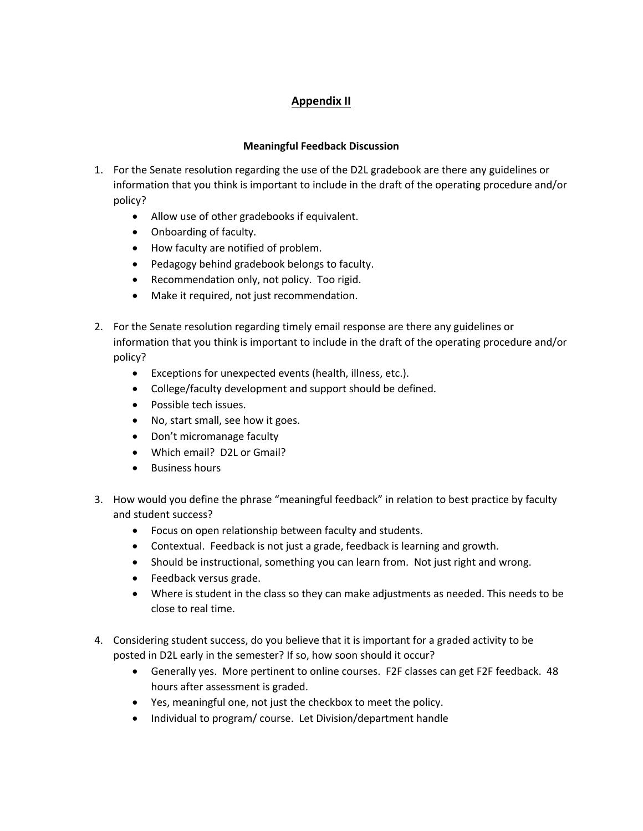## **Appendix II**

### **Meaningful Feedback Discussion**

- 1. For the Senate resolution regarding the use of the D2L gradebook are there any guidelines or information that you think is important to include in the draft of the operating procedure and/or policy?
	- Allow use of other gradebooks if equivalent.
	- Onboarding of faculty.
	- How faculty are notified of problem.
	- Pedagogy behind gradebook belongs to faculty.
	- Recommendation only, not policy. Too rigid.
	- Make it required, not just recommendation.
- 2. For the Senate resolution regarding timely email response are there any guidelines or information that you think is important to include in the draft of the operating procedure and/or policy?
	- Exceptions for unexpected events (health, illness, etc.).
	- College/faculty development and support should be defined.
	- Possible tech issues.
	- No, start small, see how it goes.
	- Don't micromanage faculty
	- Which email? D2L or Gmail?
	- Business hours
- 3. How would you define the phrase "meaningful feedback" in relation to best practice by faculty and student success?
	- Focus on open relationship between faculty and students.
	- Contextual. Feedback is not just a grade, feedback is learning and growth.
	- Should be instructional, something you can learn from. Not just right and wrong.
	- Feedback versus grade.
	- • Where is student in the class so they can make adjustments as needed. This needs to be close to real time.
- posted in D2L early in the semester? If so, how soon should it occur? 4. Considering student success, do you believe that it is important for a graded activity to be
	- • Generally yes. More pertinent to online courses. F2F classes can get F2F feedback. 48 hours after assessment is graded.
	- Yes, meaningful one, not just the checkbox to meet the policy.
	- Individual to program/ course. Let Division/department handle